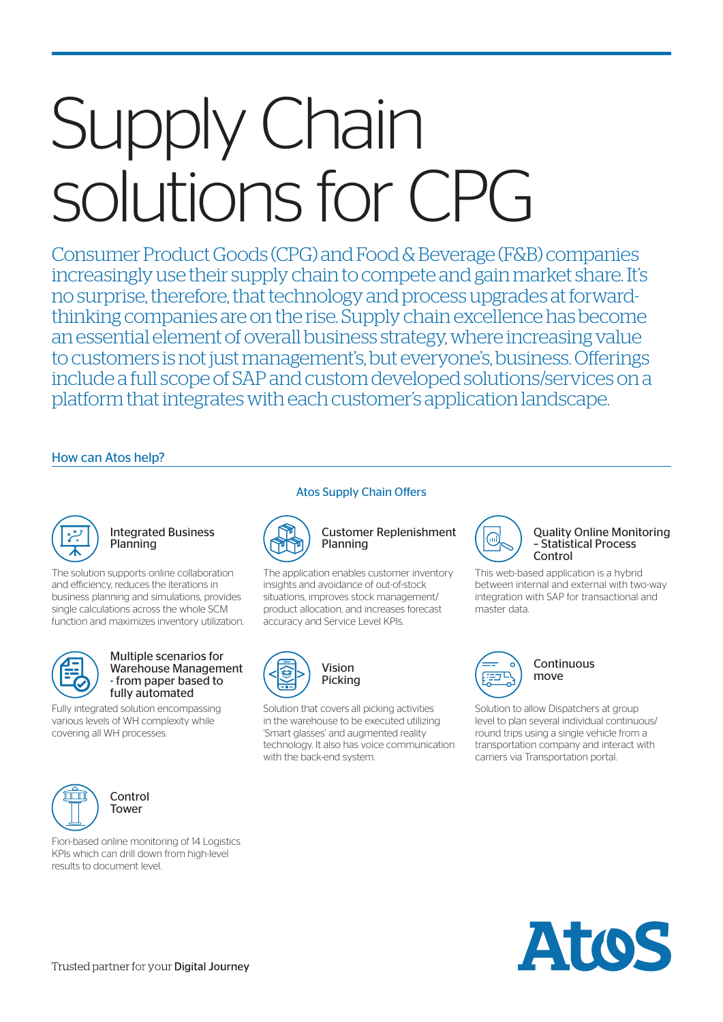# Supply Chain solutions for CPG

Consumer Product Goods (CPG) and Food & Beverage (F&B) companies increasingly use their supply chain to compete and gain market share. It's no surprise, therefore, that technology and process upgrades at forwardthinking companies are on the rise. Supply chain excellence has become an essential element of overall business strategy, where increasing value to customers is not just management's, but everyone's, business. Offerings include a full scope of SAP and custom developed solutions/services on a platform that integrates with each customer's application landscape.

# How can Atos help?



## Integrated Business Planning

The solution supports online collaboration and efficiency, reduces the iterations in business planning and simulations, provides single calculations across the whole SCM function and maximizes inventory utilization.



#### Multiple scenarios for Warehouse Management - from paper based to fully automated

Fully integrated solution encompassing various levels of WH complexity while covering all WH processes.



Control **Tower** 

Fiori-based online monitoring of 14 Logistics KPIs which can drill down from high-level results to document level.

### Atos Supply Chain Offers



#### Customer Replenishment Planning

The application enables customer inventory insights and avoidance of out-of-stock situations, improves stock management/ product allocation, and increases forecast accuracy and Service Level KPIs.



Solution that covers all picking activities in the warehouse to be executed utilizing 'Smart glasses' and augmented reality technology. It also has voice communication with the back-end system.



#### Quality Online Monitoring – Statistical Process Control

This web-based application is a hybrid between internal and external with two-way integration with SAP for transactional and master data.



**Continuous** move

Solution to allow Dispatchers at group level to plan several individual continuous/ round trips using a single vehicle from a transportation company and interact with carriers via Transportation portal.